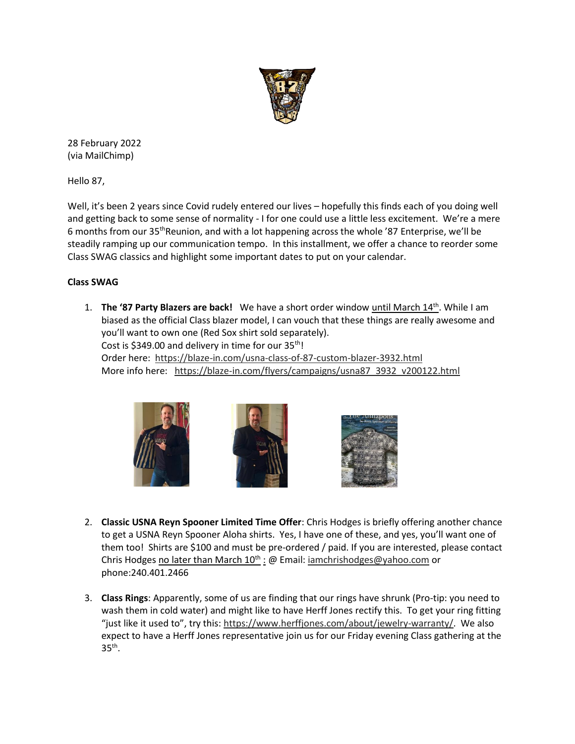

28 February 2022 (via MailChimp)

Hello 87,

Well, it's been 2 years since Covid rudely entered our lives – hopefully this finds each of you doing well and getting back to some sense of normality - I for one could use a little less excitement. We're a mere 6 months from our 35thReunion, and with a lot happening across the whole '87 Enterprise, we'll be steadily ramping up our communication tempo. In this installment, we offer a chance to reorder some Class SWAG classics and highlight some important dates to put on your calendar.

## **Class SWAG**

1. **The '87 Party Blazers are back!** We have a short order window until March 14<sup>th</sup>. While I am biased as the official Class blazer model, I can vouch that these things are really awesome and you'll want to own one (Red Sox shirt sold separately). Cost is \$349.00 and delivery in time for our 35<sup>th</sup>! Order here: [https://blaze-in.com/usna-class-of-87-custom-blazer-3932.html](https://urldefense.com/v3/__https:/usna87.us8.list-manage.com/track/click?u=2684e72b50947e1384ea3ea73&id=e0d813ccc5&e=481298a62f__;!!MvWE!SuTN9gkjAienaro9PPSK5jhLR0xXnljtLL1BarJuA_YQoAIVLM8WCifDGqL0gmTvZg$) More info here: [https://blaze-in.com/flyers/campaigns/usna87\\_3932\\_v200122.html](https://urldefense.com/v3/__https:/usna87.us8.list-manage.com/track/click?u=2684e72b50947e1384ea3ea73&id=7ddd035526&e=481298a62f__;!!MvWE!SuTN9gkjAienaro9PPSK5jhLR0xXnljtLL1BarJuA_YQoAIVLM8WCifDGqIPgZBXMg$)







- 2. **Classic USNA Reyn Spooner Limited Time Offer**: Chris Hodges is briefly offering another chance to get a USNA Reyn Spooner Aloha shirts. Yes, I have one of these, and yes, you'll want one of them too! Shirts are \$100 and must be pre-ordered / paid. If you are interested, please contact Chris Hodges no later than March 10<sup>th</sup> : @ Email: [iamchrishodges@yahoo.com](mailto:iamchrishodges@yahoo.com) or phone:240.401.2466
- 3. **Class Rings**: Apparently, some of us are finding that our rings have shrunk (Pro-tip: you need to wash them in cold water) and might like to have Herff Jones rectify this. To get your ring fitting "just like it used to", try this: [https://www.herffjones.com/about/jewelry-warranty/.](https://urldefense.com/v3/__https:/usna87.us8.list-manage.com/track/click?u=2684e72b50947e1384ea3ea73&id=202c860f25&e=481298a62f__;!!MvWE!SuTN9gkjAienaro9PPSK5jhLR0xXnljtLL1BarJuA_YQoAIVLM8WCifDGqJ-u_Us5A$) We also expect to have a Herff Jones representative join us for our Friday evening Class gathering at the  $35<sup>th</sup>$ .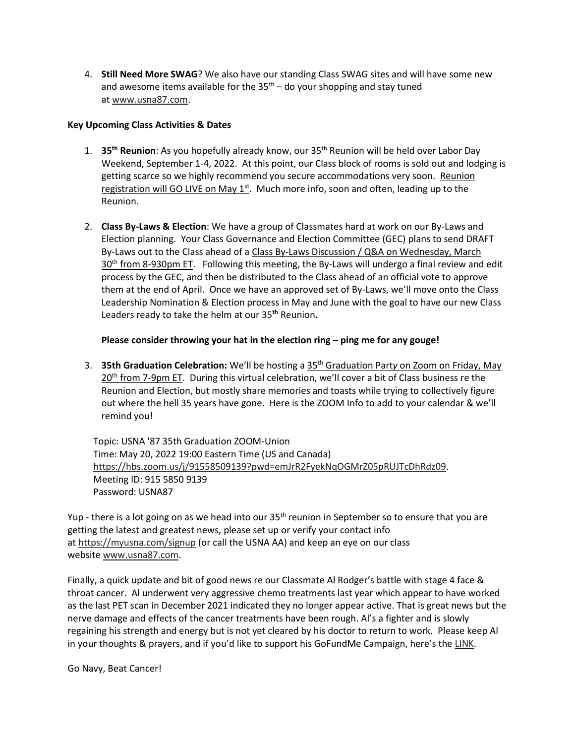4. **Still Need More SWAG**? We also have our standing Class SWAG sites and will have some new and awesome items available for the  $35<sup>th</sup>$  – do your shopping and stay tuned at [www.usna87.com.](https://urldefense.com/v3/__https:/usna87.us8.list-manage.com/track/click?u=2684e72b50947e1384ea3ea73&id=9a82c59151&e=481298a62f__;!!MvWE!SuTN9gkjAienaro9PPSK5jhLR0xXnljtLL1BarJuA_YQoAIVLM8WCifDGqISYX7P0A$)

## **Key Upcoming Class Activities & Dates**

- 1. **35th Reunion**: As you hopefully already know, our 35th Reunion will be held over Labor Day Weekend, September 1-4, 2022. At this point, our Class block of rooms is sold out and lodging is getting scarce so we highly recommend you secure accommodations very soon. Reunion registration will GO LIVE on May 1<sup>st</sup>. Much more info, soon and often, leading up to the Reunion.
- 2. **Class By-Laws & Election**: We have a group of Classmates hard at work on our By-Laws and Election planning. Your Class Governance and Election Committee (GEC) plans to send DRAFT By-Laws out to the Class ahead of a Class By-Laws Discussion / Q&A on Wednesday, March  $30<sup>th</sup>$  from 8-930pm ET. Following this meeting, the By-Laws will undergo a final review and edit process by the GEC, and then be distributed to the Class ahead of an official vote to approve them at the end of April. Once we have an approved set of By-Laws, we'll move onto the Class Leadership Nomination & Election process in May and June with the goal to have our new Class Leaders ready to take the helm at our 35**th** Reunion**.**

## **Please consider throwing your hat in the election ring – ping me for any gouge!**

3. **35th Graduation Celebration:** We'll be hosting a 35th Graduation Part*y* on Zoom on Friday, May 20<sup>th</sup> from 7-9pm ET. During this virtual celebration, we'll cover a bit of Class business re the Reunion and Election, but mostly share memories and toasts while trying to collectively figure out where the hell 35 years have gone. Here is the ZOOM Info to add to your calendar & we'll remind you!

Topic: USNA '87 35th Graduation ZOOM-Union Time: May 20, 2022 19:00 Eastern Time (US and Canada) [https://hbs.zoom.us/j/91558509139?pwd=emJrR2FyekNqOGMrZ05pRUJTcDhRdz09.](https://urldefense.com/v3/__https:/usna87.us8.list-manage.com/track/click?u=2684e72b50947e1384ea3ea73&id=64461ffeea&e=481298a62f__;!!MvWE!SuTN9gkjAienaro9PPSK5jhLR0xXnljtLL1BarJuA_YQoAIVLM8WCifDGqK8LNWLNw$) Meeting ID: 915 5850 9139 Password: USNA87

Yup - there is a lot going on as we head into our 35<sup>th</sup> reunion in September so to ensure that you are getting the latest and greatest news, please set up or verify your contact info at [https://myusna.com/signup](https://urldefense.com/v3/__https:/usna87.us8.list-manage.com/track/click?u=2684e72b50947e1384ea3ea73&id=1ecae27571&e=481298a62f__;!!MvWE!SuTN9gkjAienaro9PPSK5jhLR0xXnljtLL1BarJuA_YQoAIVLM8WCifDGqIeh0OlAA$) (or call the USNA AA) and keep an eye on our class website [www.usna87.com.](https://urldefense.com/v3/__https:/usna87.us8.list-manage.com/track/click?u=2684e72b50947e1384ea3ea73&id=9ab647f7d7&e=481298a62f__;!!MvWE!SuTN9gkjAienaro9PPSK5jhLR0xXnljtLL1BarJuA_YQoAIVLM8WCifDGqKEL59mQw$)

Finally, a quick update and bit of good news re our Classmate Al Rodger's battle with stage 4 face & throat cancer. Al underwent very aggressive chemo treatments last year which appear to have worked as the last PET scan in December 2021 indicated they no longer appear active. That is great news but the nerve damage and effects of the cancer treatments have been rough. Al's a fighter and is slowly regaining his strength and energy but is not yet cleared by his doctor to return to work. Please keep Al in your thoughts & prayers, and if you'd like to support his GoFundMe Campaign, here's the [LINK.](https://urldefense.com/v3/__https:/usna87.us8.list-manage.com/track/click?u=2684e72b50947e1384ea3ea73&id=89a8decb98&e=481298a62f__;!!MvWE!SuTN9gkjAienaro9PPSK5jhLR0xXnljtLL1BarJuA_YQoAIVLM8WCifDGqKW7cV3pg$)

Go Navy, Beat Cancer!